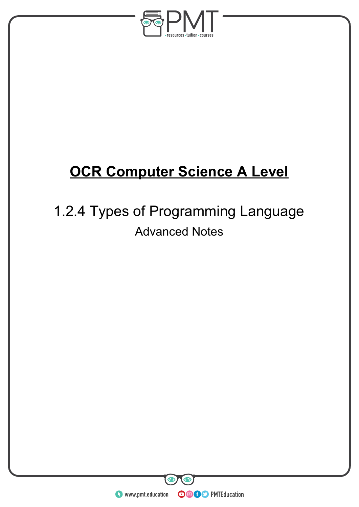

# **OCR Computer Science A Level**

# 1.2.4 Types of Programming Language Advanced Notes

**WWW.pmt.education**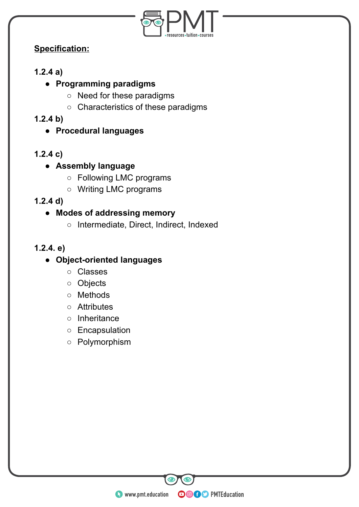

# **Specification:**

# **1.2.4 a)**

# **● Programming paradigms**

- Need for these paradigms
- Characteristics of these paradigms
- **1.2.4 b)** 
	- **Procedural languages**

# **1.2.4 c)**

- **Assembly language** 
	- Following LMC programs
	- Writing LMC programs
- **1.2.4 d)**

## **● Modes of addressing memory**

○ Intermediate, Direct, Indirect, Indexed

## **1.2.4. e)**

# **● Object-oriented languages**

- Classes
- Objects
- Methods
- Attributes
- Inheritance
- Encapsulation
- Polymorphism

**WWW.pmt.education**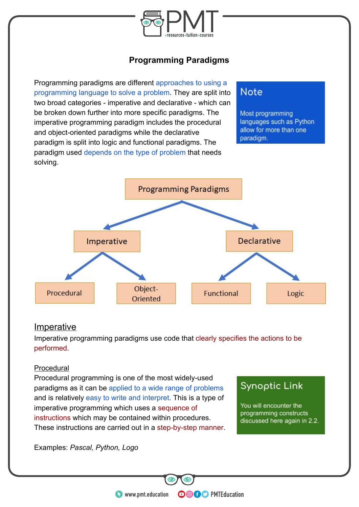

# **Programming Paradigms**

Programming paradigms are different approaches to using a programming language to solve a problem. They are split into two broad categories - imperative and declarative - which can be broken down further into more specific paradigms. The imperative programming paradigm includes the procedural and object-oriented paradigms while the declarative paradigm is split into logic and functional paradigms. The paradigm used depends on the type of problem that needs solving.

# Note

Most programming languages such as Python allow for more than one paradigm.



#### **Imperative**

Imperative programming paradigms use code that clearly specifies the actions to be performed.

#### Procedural

Procedural programming is one of the most widely-used paradigms as it can be applied to a wide range of problems and is relatively easy to write and interpret. This is a type of imperative programming which uses a sequence of instructions which may be contained within procedures. These instructions are carried out in a step-by-step manner.

# **Synoptic Link**

You will encounter the programming constructs discussed here again in 2.2.

Examples: *Pascal, Python, Logo*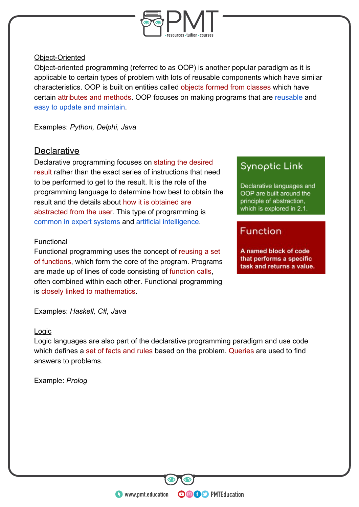

#### Object-Oriented

Object-oriented programming (referred to as OOP) is another popular paradigm as it is applicable to certain types of problem with lots of reusable components which have similar characteristics. OOP is built on entities called objects formed from classes which have certain attributes and methods. OOP focuses on making programs that are reusable and easy to update and maintain.

Examples: *Python, Delphi, Java* 

### **Declarative**

Declarative programming focuses on stating the desired result rather than the exact series of instructions that need to be performed to get to the result. It is the role of the programming language to determine how best to obtain the result and the details about how it is obtained are abstracted from the user. This type of programming is common in expert systems and artificial intelligence.

#### **Functional**

Functional programming uses the concept of reusing a set of functions, which form the core of the program. Programs are made up of lines of code consisting of function calls, often combined within each other. Functional programming is closely linked to mathematics.

Examples: *Haskell, C#, Java*

#### Logic

Logic languages are also part of the declarative programming paradigm and use code which defines a set of facts and rules based on the problem. Queries are used to find answers to problems.

**OOOO** PMTEducation

Example: *Prolog* 

# **Synoptic Link**

Declarative languages and OOP are built around the principle of abstraction, which is explored in 2.1.

# **Function**

A named block of code that performs a specific task and returns a value.

**C** www.pmt.education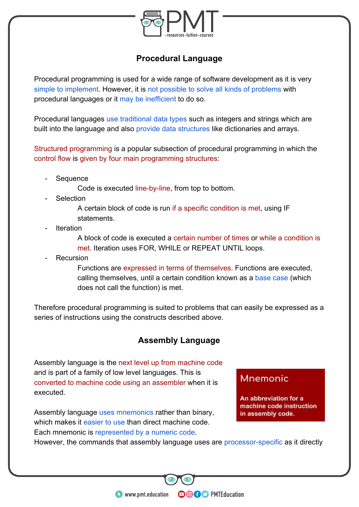

## **Procedural Language**

Procedural programming is used for a wide range of software development as it is very simple to implement. However, it is not possible to solve all kinds of problems with procedural languages or it may be inefficient to do so.

Procedural languages use traditional data types such as integers and strings which are built into the language and also provide data structures like dictionaries and arrays.

Structured programming is a popular subsection of procedural programming in which the control flow is given by four main programming structures:

**Sequence** 

Code is executed line-by-line, from top to bottom.

**Selection** 

A certain block of code is run if a specific condition is met, using IF **statements** 

**Iteration** 

A block of code is executed a certain number of times or while a condition is met. Iteration uses FOR, WHILE or REPEAT UNTIL loops.

**Recursion** 

Functions are expressed in terms of themselves. Functions are executed, calling themselves, until a certain condition known as a base case (which does not call the function) is met.

Therefore procedural programming is suited to problems that can easily be expressed as a series of instructions using the constructs described above.

# **Assembly Language**

Assembly language is the next level up from machine code and is part of a family of low level languages. This is converted to machine code using an assembler when it is executed.

Assembly language uses mnemonics rather than binary, which makes it easier to use than direct machine code. Each mnemonic is represented by a numeric code.

# Mnemonic

An abbreviation for a machine code instruction in assembly code.

However, the commands that assembly language uses are processor-specific as it directly

**OOOO** PMTEducation

**C** www.pmt.education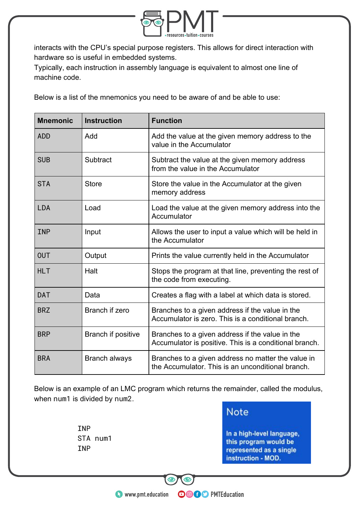

interacts with the CPU's special purpose registers. This allows for direct interaction with hardware so is useful in embedded systems.

Typically, each instruction in assembly language is equivalent to almost one line of machine code.

Below is a list of the mnemonics you need to be aware of and be able to use:

| <b>Mnemonic</b> | <b>Instruction</b>   | <b>Function</b>                                                                                           |
|-----------------|----------------------|-----------------------------------------------------------------------------------------------------------|
| <b>ADD</b>      | Add                  | Add the value at the given memory address to the<br>value in the Accumulator                              |
| <b>SUB</b>      | Subtract             | Subtract the value at the given memory address<br>from the value in the Accumulator                       |
| <b>STA</b>      | <b>Store</b>         | Store the value in the Accumulator at the given<br>memory address                                         |
| <b>LDA</b>      | Load                 | Load the value at the given memory address into the<br>Accumulator                                        |
| <b>INP</b>      | Input                | Allows the user to input a value which will be held in<br>the Accumulator                                 |
| <b>OUT</b>      | Output               | Prints the value currently held in the Accumulator                                                        |
| <b>HLT</b>      | Halt                 | Stops the program at that line, preventing the rest of<br>the code from executing.                        |
| <b>DAT</b>      | Data                 | Creates a flag with a label at which data is stored.                                                      |
| <b>BRZ</b>      | Branch if zero       | Branches to a given address if the value in the<br>Accumulator is zero. This is a conditional branch.     |
| <b>BRP</b>      | Branch if positive   | Branches to a given address if the value in the<br>Accumulator is positive. This is a conditional branch. |
| <b>BRA</b>      | <b>Branch always</b> | Branches to a given address no matter the value in<br>the Accumulator. This is an unconditional branch.   |

Below is an example of an LMC program which returns the remainder, called the modulus, when num1 is divided by num2.

> INP STA num1 INP

**Note** 

**OOOO** PMTEducation

In a high-level language, this program would be represented as a single instruction - MOD.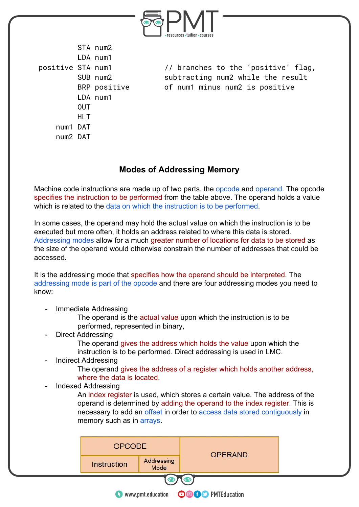

STA num2 LDA num1 LDA num1 OUT HLT num1 DAT num2 DAT

positive STA num1 // branches to the 'positive' flag, SUB num2 subtracting num2 while the result BRP positive of num1 minus num2 is positive

### **Modes of Addressing Memory**

Machine code instructions are made up of two parts, the opcode and operand. The opcode specifies the instruction to be performed from the table above. The operand holds a value which is related to the data on which the instruction is to be performed.

In some cases, the operand may hold the actual value on which the instruction is to be executed but more often, it holds an address related to where this data is stored. Addressing modes allow for a much greater number of locations for data to be stored as the size of the operand would otherwise constrain the number of addresses that could be accessed.

It is the addressing mode that specifies how the operand should be interpreted. The addressing mode is part of the opcode and there are four addressing modes you need to know:

- Immediate Addressing

The operand is the actual value upon which the instruction is to be performed, represented in binary,

Direct Addressing

The operand gives the address which holds the value upon which the instruction is to be performed. Direct addressing is used in LMC.

Indirect Addressing

The operand gives the address of a register which holds another address, where the data is located.

- Indexed Addressing

An index register is used, which stores a certain value. The address of the operand is determined by adding the operand to the index register. This is necessary to add an offset in order to access data stored contiguously in memory such as in arrays.

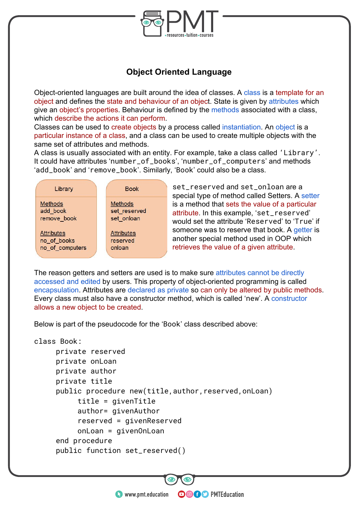

## **Object Oriented Language**

Object-oriented languages are built around the idea of classes. A class is a template for an object and defines the state and behaviour of an object. State is given by attributes which give an object's properties. Behaviour is defined by the methods associated with a class, which describe the actions it can perform.

Classes can be used to create objects by a process called instantiation. An object is a particular instance of a class, and a class can be used to create multiple objects with the same set of attributes and methods.

A class is usually associated with an entity. For example, take a class called 'Library'. It could have attributes 'number\_of\_books', 'number\_of\_computers' and methods 'add\_book' and 'remove\_book'. Similarly, 'Book' could also be a class.

| Library           | <b>Book</b>       |
|-------------------|-------------------|
| Methods           | <b>Methods</b>    |
| add book          | set reserved      |
| remove book       | set_onloan        |
| <b>Attributes</b> | <b>Attributes</b> |
| no_of_books       | reserved          |
| no_of_computers   | onloan            |

set\_reserved and set\_onloan are a special type of method called Setters. A setter is a method that sets the value of a particular attribute. In this example, 'set\_reserved' would set the attribute 'Reserved' to 'True' if someone was to reserve that book. A getter is another special method used in OOP which retrieves the value of a given attribute.

The reason getters and setters are used is to make sure attributes cannot be directly accessed and edited by users. This property of object-oriented programming is called encapsulation. Attributes are declared as private so can only be altered by public methods. Every class must also have a constructor method, which is called 'new'. A constructor allows a new object to be created.

Below is part of the pseudocode for the 'Book' class described above:

```
class Book: 
     private reserved 
     private onLoan 
     private author 
     private title 
     public procedure new(title,author,reserved,onLoan) 
          title = givenTitle 
          author= givenAuthor 
          reserved = givenReserved 
          onLoan = givenOnLoan 
     end procedure 
     public function set_reserved()
```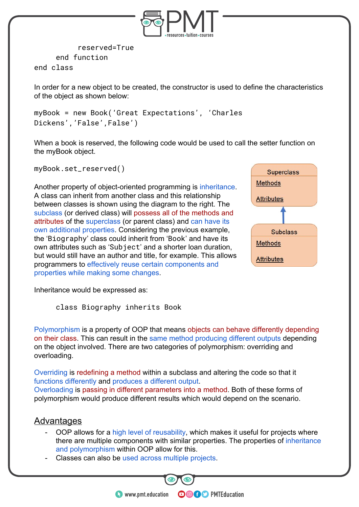

```
reserved=True 
     end function 
end class
```
In order for a new object to be created, the constructor is used to define the characteristics of the object as shown below:

```
myBook = new Book('Great Expectations', 'Charles 
Dickens', 'False', False')
```
When a book is reserved, the following code would be used to call the setter function on the myBook object.

myBook.set\_reserved()

Another property of object-oriented programming is inheritance. A class can inherit from another class and this relationship between classes is shown using the diagram to the right. The subclass (or derived class) will possess all of the methods and attributes of the superclass (or parent class) and can have its own additional properties. Considering the previous example, the 'Biography' class could inherit from 'Book' and have its own attributes such as 'Subject' and a shorter loan duration, but would still have an author and title, for example. This allows programmers to effectively reuse certain components and properties while making some changes.



Inheritance would be expressed as:

class Biography inherits Book

Polymorphism is a property of OOP that means objects can behave differently depending on their class. This can result in the same method producing different outputs depending on the object involved. There are two categories of polymorphism: overriding and overloading.

Overriding is redefining a method within a subclass and altering the code so that it functions differently and produces a different output.

Overloading is passing in different parameters into a method. Both of these forms of polymorphism would produce different results which would depend on the scenario.

#### **Advantages**

OOP allows for a high level of reusability, which makes it useful for projects where there are multiple components with similar properties. The properties of inheritance and polymorphism within OOP allow for this.

**OOOO** PMTEducation

Classes can also be used across multiple projects.

**C** www.pmt.education